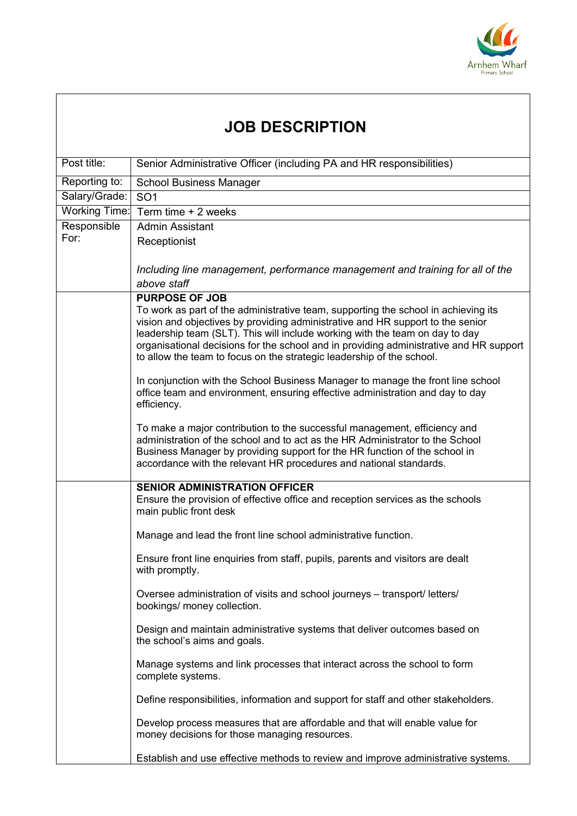

| <b>JOB DESCRIPTION</b> |                                                                                                                                                                                                                                                                                                                                                                                                                                                  |  |
|------------------------|--------------------------------------------------------------------------------------------------------------------------------------------------------------------------------------------------------------------------------------------------------------------------------------------------------------------------------------------------------------------------------------------------------------------------------------------------|--|
| Post title:            | Senior Administrative Officer (including PA and HR responsibilities)                                                                                                                                                                                                                                                                                                                                                                             |  |
| Reporting to:          | <b>School Business Manager</b>                                                                                                                                                                                                                                                                                                                                                                                                                   |  |
| Salary/Grade:          | SO <sub>1</sub>                                                                                                                                                                                                                                                                                                                                                                                                                                  |  |
| <b>Working Time:</b>   | Term time + 2 weeks                                                                                                                                                                                                                                                                                                                                                                                                                              |  |
| Responsible            | <b>Admin Assistant</b>                                                                                                                                                                                                                                                                                                                                                                                                                           |  |
| For:                   | Receptionist                                                                                                                                                                                                                                                                                                                                                                                                                                     |  |
|                        | Including line management, performance management and training for all of the<br>above staff                                                                                                                                                                                                                                                                                                                                                     |  |
|                        | <b>PURPOSE OF JOB</b><br>To work as part of the administrative team, supporting the school in achieving its<br>vision and objectives by providing administrative and HR support to the senior<br>leadership team (SLT). This will include working with the team on day to day<br>organisational decisions for the school and in providing administrative and HR support<br>to allow the team to focus on the strategic leadership of the school. |  |
|                        | In conjunction with the School Business Manager to manage the front line school<br>office team and environment, ensuring effective administration and day to day<br>efficiency.                                                                                                                                                                                                                                                                  |  |
|                        | To make a major contribution to the successful management, efficiency and<br>administration of the school and to act as the HR Administrator to the School<br>Business Manager by providing support for the HR function of the school in<br>accordance with the relevant HR procedures and national standards.                                                                                                                                   |  |
|                        | <b>SENIOR ADMINISTRATION OFFICER</b><br>Ensure the provision of effective office and reception services as the schools<br>main public front desk                                                                                                                                                                                                                                                                                                 |  |
|                        | Manage and lead the front line school administrative function.                                                                                                                                                                                                                                                                                                                                                                                   |  |
|                        | Ensure front line enquiries from staff, pupils, parents and visitors are dealt<br>with promptly.                                                                                                                                                                                                                                                                                                                                                 |  |
|                        | Oversee administration of visits and school journeys - transport/letters/<br>bookings/ money collection.                                                                                                                                                                                                                                                                                                                                         |  |
|                        | Design and maintain administrative systems that deliver outcomes based on<br>the school's aims and goals.                                                                                                                                                                                                                                                                                                                                        |  |
|                        | Manage systems and link processes that interact across the school to form<br>complete systems.                                                                                                                                                                                                                                                                                                                                                   |  |
|                        | Define responsibilities, information and support for staff and other stakeholders.                                                                                                                                                                                                                                                                                                                                                               |  |
|                        | Develop process measures that are affordable and that will enable value for<br>money decisions for those managing resources.                                                                                                                                                                                                                                                                                                                     |  |
|                        | Establish and use effective methods to review and improve administrative systems.                                                                                                                                                                                                                                                                                                                                                                |  |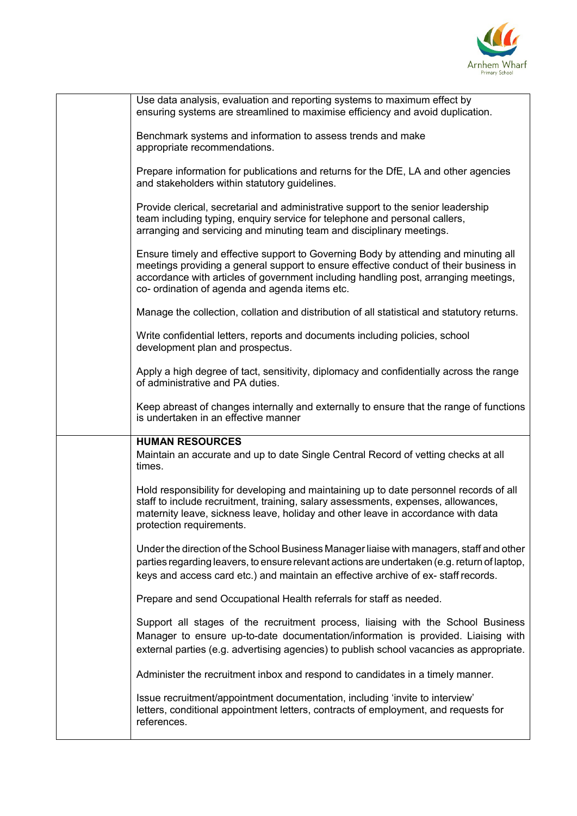

| Use data analysis, evaluation and reporting systems to maximum effect by<br>ensuring systems are streamlined to maximise efficiency and avoid duplication.                                                                                                                                                            |
|-----------------------------------------------------------------------------------------------------------------------------------------------------------------------------------------------------------------------------------------------------------------------------------------------------------------------|
| Benchmark systems and information to assess trends and make<br>appropriate recommendations.                                                                                                                                                                                                                           |
| Prepare information for publications and returns for the DfE, LA and other agencies<br>and stakeholders within statutory guidelines.                                                                                                                                                                                  |
| Provide clerical, secretarial and administrative support to the senior leadership<br>team including typing, enquiry service for telephone and personal callers,<br>arranging and servicing and minuting team and disciplinary meetings.                                                                               |
| Ensure timely and effective support to Governing Body by attending and minuting all<br>meetings providing a general support to ensure effective conduct of their business in<br>accordance with articles of government including handling post, arranging meetings,<br>co- ordination of agenda and agenda items etc. |
| Manage the collection, collation and distribution of all statistical and statutory returns.                                                                                                                                                                                                                           |
| Write confidential letters, reports and documents including policies, school<br>development plan and prospectus.                                                                                                                                                                                                      |
| Apply a high degree of tact, sensitivity, diplomacy and confidentially across the range<br>of administrative and PA duties.                                                                                                                                                                                           |
| Keep abreast of changes internally and externally to ensure that the range of functions<br>is undertaken in an effective manner                                                                                                                                                                                       |
| <b>HUMAN RESOURCES</b><br>Maintain an accurate and up to date Single Central Record of vetting checks at all<br>times.                                                                                                                                                                                                |
| Hold responsibility for developing and maintaining up to date personnel records of all<br>staff to include recruitment, training, salary assessments, expenses, allowances,<br>maternity leave, sickness leave, holiday and other leave in accordance with data<br>protection requirements.                           |
| Under the direction of the School Business Manager liaise with managers, staff and other<br>parties regarding leavers, to ensure relevant actions are undertaken (e.g. return of laptop,<br>keys and access card etc.) and maintain an effective archive of ex-staff records.                                         |
| Prepare and send Occupational Health referrals for staff as needed.                                                                                                                                                                                                                                                   |
| Support all stages of the recruitment process, liaising with the School Business<br>Manager to ensure up-to-date documentation/information is provided. Liaising with<br>external parties (e.g. advertising agencies) to publish school vacancies as appropriate.                                                     |
| Administer the recruitment inbox and respond to candidates in a timely manner.                                                                                                                                                                                                                                        |
| Issue recruitment/appointment documentation, including 'invite to interview'<br>letters, conditional appointment letters, contracts of employment, and requests for<br>references.                                                                                                                                    |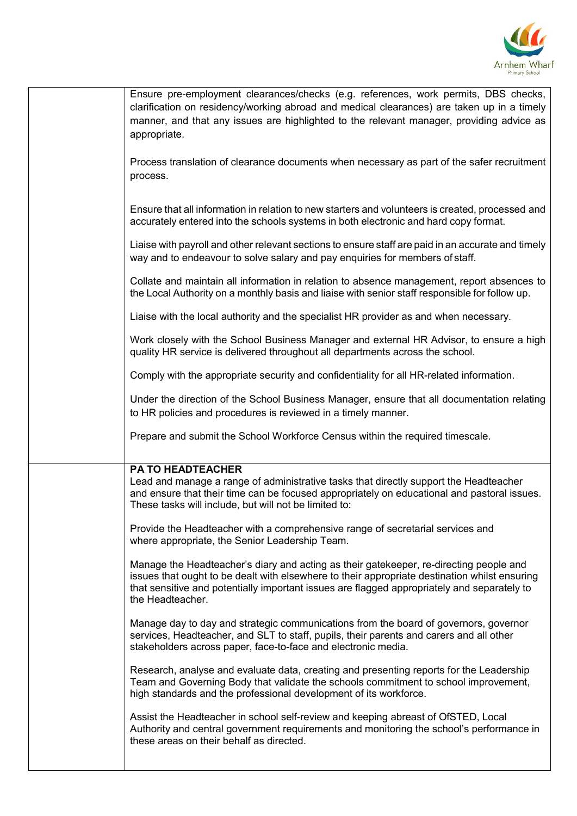

| Ensure pre-employment clearances/checks (e.g. references, work permits, DBS checks,<br>clarification on residency/working abroad and medical clearances) are taken up in a timely<br>manner, and that any issues are highlighted to the relevant manager, providing advice as<br>appropriate.              |
|------------------------------------------------------------------------------------------------------------------------------------------------------------------------------------------------------------------------------------------------------------------------------------------------------------|
| Process translation of clearance documents when necessary as part of the safer recruitment<br>process.                                                                                                                                                                                                     |
| Ensure that all information in relation to new starters and volunteers is created, processed and<br>accurately entered into the schools systems in both electronic and hard copy format.                                                                                                                   |
| Liaise with payroll and other relevant sections to ensure staff are paid in an accurate and timely<br>way and to endeavour to solve salary and pay enquiries for members of staff.                                                                                                                         |
| Collate and maintain all information in relation to absence management, report absences to<br>the Local Authority on a monthly basis and liaise with senior staff responsible for follow up.                                                                                                               |
| Liaise with the local authority and the specialist HR provider as and when necessary.                                                                                                                                                                                                                      |
| Work closely with the School Business Manager and external HR Advisor, to ensure a high<br>quality HR service is delivered throughout all departments across the school.                                                                                                                                   |
| Comply with the appropriate security and confidentiality for all HR-related information.                                                                                                                                                                                                                   |
| Under the direction of the School Business Manager, ensure that all documentation relating<br>to HR policies and procedures is reviewed in a timely manner.                                                                                                                                                |
| Prepare and submit the School Workforce Census within the required timescale.                                                                                                                                                                                                                              |
| <b>PA TO HEADTEACHER</b>                                                                                                                                                                                                                                                                                   |
| Lead and manage a range of administrative tasks that directly support the Headteacher<br>and ensure that their time can be focused appropriately on educational and pastoral issues.<br>These tasks will include, but will not be limited to:                                                              |
| Provide the Headteacher with a comprehensive range of secretarial services and<br>where appropriate, the Senior Leadership Team.                                                                                                                                                                           |
| Manage the Headteacher's diary and acting as their gatekeeper, re-directing people and<br>issues that ought to be dealt with elsewhere to their appropriate destination whilst ensuring<br>that sensitive and potentially important issues are flagged appropriately and separately to<br>the Headteacher. |
| Manage day to day and strategic communications from the board of governors, governor<br>services, Headteacher, and SLT to staff, pupils, their parents and carers and all other<br>stakeholders across paper, face-to-face and electronic media.                                                           |
| Research, analyse and evaluate data, creating and presenting reports for the Leadership<br>Team and Governing Body that validate the schools commitment to school improvement,<br>high standards and the professional development of its workforce.                                                        |
| Assist the Headteacher in school self-review and keeping abreast of OfSTED, Local<br>Authority and central government requirements and monitoring the school's performance in<br>these areas on their behalf as directed.                                                                                  |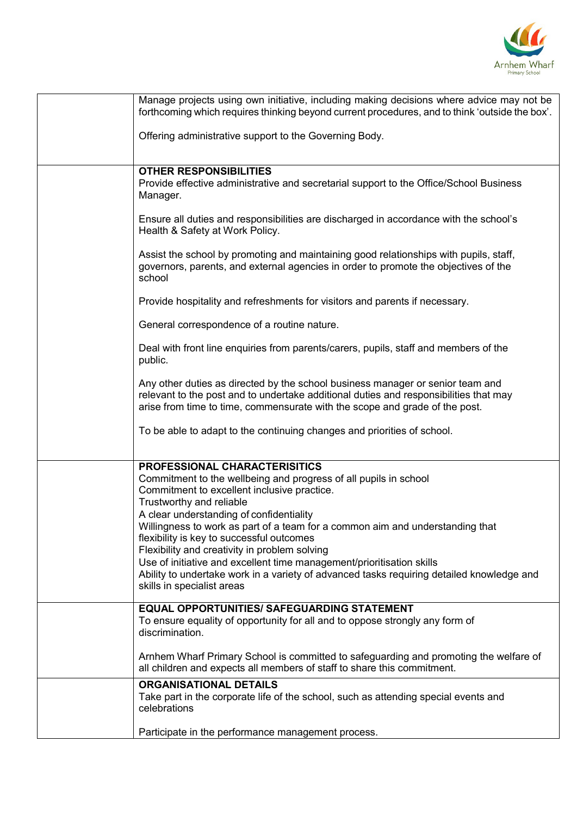

| Manage projects using own initiative, including making decisions where advice may not be<br>forthcoming which requires thinking beyond current procedures, and to think 'outside the box'.                                                             |
|--------------------------------------------------------------------------------------------------------------------------------------------------------------------------------------------------------------------------------------------------------|
| Offering administrative support to the Governing Body.                                                                                                                                                                                                 |
|                                                                                                                                                                                                                                                        |
| <b>OTHER RESPONSIBILITIES</b><br>Provide effective administrative and secretarial support to the Office/School Business<br>Manager.                                                                                                                    |
| Ensure all duties and responsibilities are discharged in accordance with the school's<br>Health & Safety at Work Policy.                                                                                                                               |
| Assist the school by promoting and maintaining good relationships with pupils, staff,<br>governors, parents, and external agencies in order to promote the objectives of the<br>school                                                                 |
| Provide hospitality and refreshments for visitors and parents if necessary.                                                                                                                                                                            |
| General correspondence of a routine nature.                                                                                                                                                                                                            |
| Deal with front line enquiries from parents/carers, pupils, staff and members of the<br>public.                                                                                                                                                        |
| Any other duties as directed by the school business manager or senior team and<br>relevant to the post and to undertake additional duties and responsibilities that may<br>arise from time to time, commensurate with the scope and grade of the post. |
| To be able to adapt to the continuing changes and priorities of school.                                                                                                                                                                                |
| PROFESSIONAL CHARACTERISITICS                                                                                                                                                                                                                          |
| Commitment to the wellbeing and progress of all pupils in school<br>Commitment to excellent inclusive practice.<br>Trustworthy and reliable                                                                                                            |
| A clear understanding of confidentiality                                                                                                                                                                                                               |
| Willingness to work as part of a team for a common aim and understanding that<br>flexibility is key to successful outcomes<br>Flexibility and creativity in problem solving                                                                            |
| Use of initiative and excellent time management/prioritisation skills<br>Ability to undertake work in a variety of advanced tasks requiring detailed knowledge and<br>skills in specialist areas                                                       |
| <b>EQUAL OPPORTUNITIES/ SAFEGUARDING STATEMENT</b><br>To ensure equality of opportunity for all and to oppose strongly any form of<br>discrimination.                                                                                                  |
| Arnhem Wharf Primary School is committed to safeguarding and promoting the welfare of<br>all children and expects all members of staff to share this commitment.                                                                                       |
| <b>ORGANISATIONAL DETAILS</b><br>Take part in the corporate life of the school, such as attending special events and<br>celebrations                                                                                                                   |
| Participate in the performance management process.                                                                                                                                                                                                     |